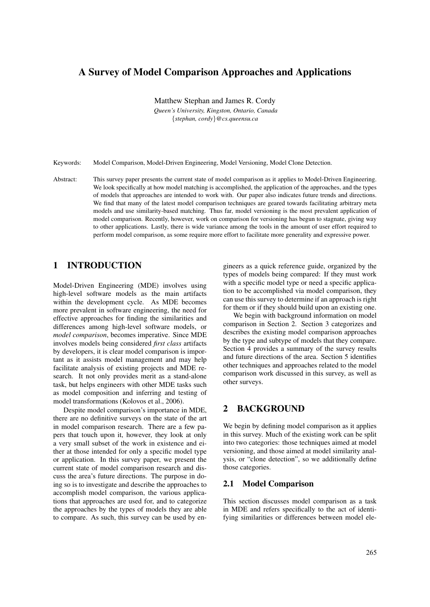# A Survey of Model Comparison Approaches and Applications

Matthew Stephan and James R. Cordy

*Queen's University, Kingston, Ontario, Canada* {*stephan, cordy*}*@cs.queensu.ca*

Keywords: Model Comparison, Model-Driven Engineering, Model Versioning, Model Clone Detection.

Abstract: This survey paper presents the current state of model comparison as it applies to Model-Driven Engineering. We look specifically at how model matching is accomplished, the application of the approaches, and the types of models that approaches are intended to work with. Our paper also indicates future trends and directions. We find that many of the latest model comparison techniques are geared towards facilitating arbitrary meta models and use similarity-based matching. Thus far, model versioning is the most prevalent application of model comparison. Recently, however, work on comparison for versioning has begun to stagnate, giving way to other applications. Lastly, there is wide variance among the tools in the amount of user effort required to perform model comparison, as some require more effort to facilitate more generality and expressive power.

## 1 INTRODUCTION

Model-Driven Engineering (MDE) involves using high-level software models as the main artifacts within the development cycle. As MDE becomes more prevalent in software engineering, the need for effective approaches for finding the similarities and differences among high-level software models, or *model comparison*, becomes imperative. Since MDE involves models being considered *first class* artifacts by developers, it is clear model comparison is important as it assists model management and may help facilitate analysis of existing projects and MDE research. It not only provides merit as a stand-alone task, but helps engineers with other MDE tasks such as model composition and inferring and testing of model transformations (Kolovos et al., 2006).

Despite model comparison's importance in MDE, there are no definitive surveys on the state of the art in model comparison research. There are a few papers that touch upon it, however, they look at only a very small subset of the work in existence and either at those intended for only a specific model type or application. In this survey paper, we present the current state of model comparison research and discuss the area's future directions. The purpose in doing so is to investigate and describe the approaches to accomplish model comparison, the various applications that approaches are used for, and to categorize the approaches by the types of models they are able to compare. As such, this survey can be used by en-

gineers as a quick reference guide, organized by the types of models being compared: If they must work with a specific model type or need a specific application to be accomplished via model comparison, they can use this survey to determine if an approach is right for them or if they should build upon an existing one.

We begin with background information on model comparison in Section 2. Section 3 categorizes and describes the existing model comparison approaches by the type and subtype of models that they compare. Section 4 provides a summary of the survey results and future directions of the area. Section 5 identifies other techniques and approaches related to the model comparison work discussed in this survey, as well as other surveys.

## 2 BACKGROUND

We begin by defining model comparison as it applies in this survey. Much of the existing work can be split into two categories: those techniques aimed at model versioning, and those aimed at model similarity analysis, or "clone detection", so we additionally define those categories.

### 2.1 Model Comparison

This section discusses model comparison as a task in MDE and refers specifically to the act of identifying similarities or differences between model ele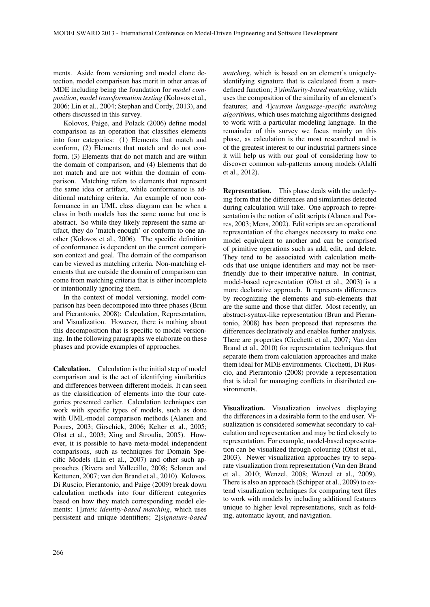ments. Aside from versioning and model clone detection, model comparison has merit in other areas of MDE including being the foundation for *model composition*, *model transformation testing* (Kolovos et al., 2006; Lin et al., 2004; Stephan and Cordy, 2013), and others discussed in this survey.

Kolovos, Paige, and Polack (2006) define model comparison as an operation that classifies elements into four categories: (1) Elements that match and conform, (2) Elements that match and do not conform, (3) Elements that do not match and are within the domain of comparison, and (4) Elements that do not match and are not within the domain of comparison. Matching refers to elements that represent the same idea or artifact, while conformance is additional matching criteria. An example of non conformance in an UML class diagram can be when a class in both models has the same name but one is abstract. So while they likely represent the same artifact, they do 'match enough' or conform to one another (Kolovos et al., 2006). The specific definition of conformance is dependent on the current comparison context and goal. The domain of the comparison can be viewed as matching criteria. Non-matching elements that are outside the domain of comparison can come from matching criteria that is either incomplete or intentionally ignoring them.

In the context of model versioning, model comparison has been decomposed into three phases (Brun and Pierantonio, 2008): Calculation, Representation, and Visualization. However, there is nothing about this decomposition that is specific to model versioning. In the following paragraphs we elaborate on these phases and provide examples of approaches.

Calculation. Calculation is the initial step of model comparison and is the act of identifying similarities and differences between different models. It can seen as the classification of elements into the four categories presented earlier. Calculation techniques can work with specific types of models, such as done with UML-model comparison methods (Alanen and Porres, 2003; Girschick, 2006; Kelter et al., 2005; Ohst et al., 2003; Xing and Stroulia, 2005). However, it is possible to have meta-model independent comparisons, such as techniques for Domain Specific Models (Lin et al., 2007) and other such approaches (Rivera and Vallecillo, 2008; Selonen and Kettunen, 2007; van den Brand et al., 2010). Kolovos, Di Ruscio, Pierantonio, and Paige (2009) break down calculation methods into four different categories based on how they match corresponding model elements: 1]*static identity-based matching*, which uses persistent and unique identifiers; 2]*signature-based* *matching*, which is based on an element's uniquelyidentifying signature that is calculated from a userdefined function; 3]*similarity-based matching*, which uses the composition of the similarity of an element's features; and 4]*custom language-specific matching algorithms*, which uses matching algorithms designed to work with a particular modeling language. In the remainder of this survey we focus mainly on this phase, as calculation is the most researched and is of the greatest interest to our industrial partners since it will help us with our goal of considering how to discover common sub-patterns among models (Alalfi et al., 2012).

Representation. This phase deals with the underlying form that the differences and similarities detected during calculation will take. One approach to representation is the notion of edit scripts (Alanen and Porres, 2003; Mens, 2002). Edit scripts are an operational representation of the changes necessary to make one model equivalent to another and can be comprised of primitive operations such as add, edit, and delete. They tend to be associated with calculation methods that use unique identifiers and may not be userfriendly due to their imperative nature. In contrast, model-based representation (Ohst et al., 2003) is a more declarative approach. It represents differences by recognizing the elements and sub-elements that are the same and those that differ. Most recently, an abstract-syntax-like representation (Brun and Pierantonio, 2008) has been proposed that represents the differences declaratively and enables further analysis. There are properties (Cicchetti et al., 2007; Van den Brand et al., 2010) for representation techniques that separate them from calculation approaches and make them ideal for MDE environments. Cicchetti, Di Ruscio, and Pierantonio (2008) provide a representation that is ideal for managing conflicts in distributed environments.

Visualization. Visualization involves displaying the differences in a desirable form to the end user. Visualization is considered somewhat secondary to calculation and representation and may be tied closely to representation. For example, model-based representation can be visualized through colouring (Ohst et al., 2003). Newer visualization approaches try to separate visualization from representation (Van den Brand et al., 2010; Wenzel, 2008; Wenzel et al., 2009). There is also an approach (Schipper et al., 2009) to extend visualization techniques for comparing text files to work with models by including additional features unique to higher level representations, such as folding, automatic layout, and navigation.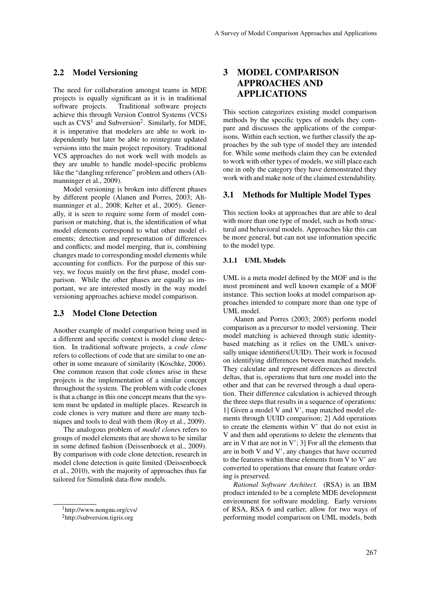### 2.2 Model Versioning

The need for collaboration amongst teams in MDE projects is equally significant as it is in traditional software projects. Traditional software projects achieve this through Version Control Systems (VCS) such as  $CVS<sup>1</sup>$  and Subversion<sup>2</sup>. Similarly, for MDE, it is imperative that modelers are able to work independently but later be able to reintegrate updated versions into the main project repository. Traditional VCS approaches do not work well with models as they are unable to handle model-specific problems like the "dangling reference" problem and others (Altmanninger et al., 2009).

Model versioning is broken into different phases by different people (Alanen and Porres, 2003; Altmanninger et al., 2008; Kelter et al., 2005). Generally, it is seen to require some form of model comparison or matching, that is, the identification of what model elements correspond to what other model elements; detection and representation of differences and conflicts; and model merging, that is, combining changes made to corresponding model elements while accounting for conflicts. For the purpose of this survey, we focus mainly on the first phase, model comparison. While the other phases are equally as important, we are interested mostly in the way model versioning approaches achieve model comparison.

#### 2.3 Model Clone Detection

Another example of model comparison being used in a different and specific context is model clone detection. In traditional software projects, a *code clone* refers to collections of code that are similar to one another in some measure of similarity (Koschke, 2006). One common reason that code clones arise in these projects is the implementation of a similar concept throughout the system. The problem with code clones is that a change in this one concept means that the system must be updated in multiple places. Research in code clones is very mature and there are many techniques and tools to deal with them (Roy et al., 2009).

The analogous problem of *model clone*s refers to groups of model elements that are shown to be similar in some defined fashion (Deissenboeck et al., 2009). By comparison with code clone detection, research in model clone detection is quite limited (Deissenboeck et al., 2010), with the majority of approaches thus far tailored for Simulink data-flow models.

# 3 MODEL COMPARISON APPROACHES AND APPLICATIONS

This section categorizes existing model comparison methods by the specific types of models they compare and discusses the applications of the comparisons. Within each section, we further classify the approaches by the sub type of model they are intended for. While some methods claim they can be extended to work with other types of models, we still place each one in only the category they have demonstrated they work with and make note of the claimed extendability.

## 3.1 Methods for Multiple Model Types

This section looks at approaches that are able to deal with more than one type of model, such as both structural and behavioral models. Approaches like this can be more general, but can not use information specific to the model type.

### 3.1.1 UML Models

UML is a meta model defined by the MOF and is the most prominent and well known example of a MOF instance. This section looks at model comparison approaches intended to compare more than one type of UML model.

Alanen and Porres (2003; 2005) perform model comparison as a precursor to model versioning. Their model matching is achieved through static identitybased matching as it relies on the UML's universally unique identifiers(UUID). Their work is focused on identifying differences between matched models. They calculate and represent differences as directed deltas, that is, operations that turn one model into the other and that can be reversed through a dual operation. Their difference calculation is achieved through the three steps that results in a sequence of operations: 1] Given a model V and V', map matched model elements through UUID comparison; 2] Add operations to create the elements within V' that do not exist in V and then add operations to delete the elements that are in V that are not in  $V'$ ; 3] For all the elements that are in both V and V', any changes that have occurred to the features within these elements from V to V' are converted to operations that ensure that feature ordering is preserved.

*Rational Software Architect.* (RSA) is an IBM product intended to be a complete MDE development environment for software modeling. Early versions of RSA, RSA 6 and earlier, allow for two ways of performing model comparison on UML models, both

<sup>1</sup>http://www.nongnu.org/cvs/

<sup>2</sup>http://subversion.tigris.org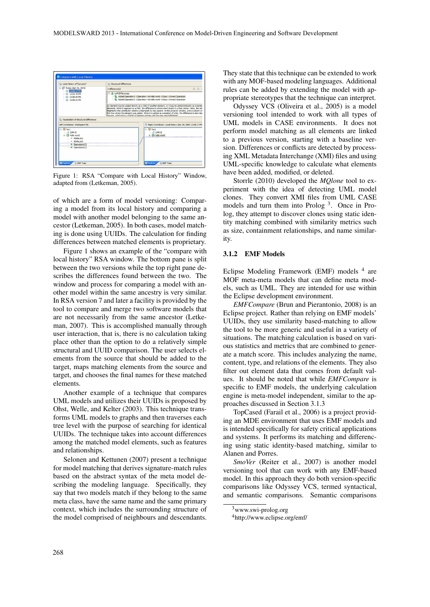

Figure 1: RSA "Compare with Local History" Window, adapted from (Letkeman, 2005).

of which are a form of model versioning: Comparing a model from its local history and comparing a model with another model belonging to the same ancestor (Letkeman, 2005). In both cases, model matching is done using UUIDs. The calculation for finding differences between matched elements is proprietary.

Figure 1 shows an example of the "compare with local history" RSA window. The bottom pane is split between the two versions while the top right pane describes the differences found between the two. The window and process for comparing a model with another model within the same ancestry is very similar. In RSA version 7 and later a facility is provided by the tool to compare and merge two software models that are not necessarily from the same ancestor (Letkeman, 2007). This is accomplished manually through user interaction, that is, there is no calculation taking place other than the option to do a relatively simple structural and UUID comparison. The user selects elements from the source that should be added to the target, maps matching elements from the source and target, and chooses the final names for these matched elements.

Another example of a technique that compares UML models and utilizes their UUIDs is proposed by Ohst, Welle, and Kelter (2003). This technique transforms UML models to graphs and then traverses each tree level with the purpose of searching for identical UUIDs. The technique takes into account differences among the matched model elements, such as features and relationships.

Selonen and Kettunen (2007) present a technique for model matching that derives signature-match rules based on the abstract syntax of the meta model describing the modeling language. Specifically, they say that two models match if they belong to the same meta class, have the same name and the same primary context, which includes the surrounding structure of the model comprised of neighbours and descendants.

They state that this technique can be extended to work with any MOF-based modeling languages. Additional rules can be added by extending the model with appropriate stereotypes that the technique can interpret.

Odyssey VCS (Oliveira et al., 2005) is a model versioning tool intended to work with all types of UML models in CASE environments. It does not perform model matching as all elements are linked to a previous version, starting with a baseline version. Differences or conflicts are detected by processing XML Metadata Interchange (XMI) files and using UML-specific knowledge to calculate what elements have been added, modified, or deleted.

Storrle (2010) developed the *MQlone* tool to experiment with the idea of detecting UML model clones. They convert XMI files from UML CASE models and turn them into Prolog<sup>3</sup>. Once in Prolog, they attempt to discover clones using static identity matching combined with similarity metrics such as size, containment relationships, and name similarity.

#### 3.1.2 EMF Models

Eclipse Modeling Framework (EMF) models <sup>4</sup> are MOF meta-meta models that can define meta models, such as UML. They are intended for use within the Eclipse development environment.

*EMFCompare* (Brun and Pierantonio, 2008) is an Eclipse project. Rather than relying on EMF models' UUIDs, they use similarity based-matching to allow the tool to be more generic and useful in a variety of situations. The matching calculation is based on various statistics and metrics that are combined to generate a match score. This includes analyzing the name, content, type, and relations of the elements. They also filter out element data that comes from default values. It should be noted that while *EMFCompare* is specific to EMF models, the underlying calculation engine is meta-model independent, similar to the approaches discussed in Section 3.1.3

TopCased (Farail et al., 2006) is a project providing an MDE environment that uses EMF models and is intended specifically for safety critical applications and systems. It performs its matching and differencing using static identity-based matching, similar to Alanen and Porres.

*SmoVer* (Reiter et al., 2007) is another model versioning tool that can work with any EMF-based model. In this approach they do both version-specific comparisons like Odyssey VCS, termed syntactical, and semantic comparisons. Semantic comparisons

 $3$ www.swi-prolog.org

<sup>4</sup>http://www.eclipse.org/emf/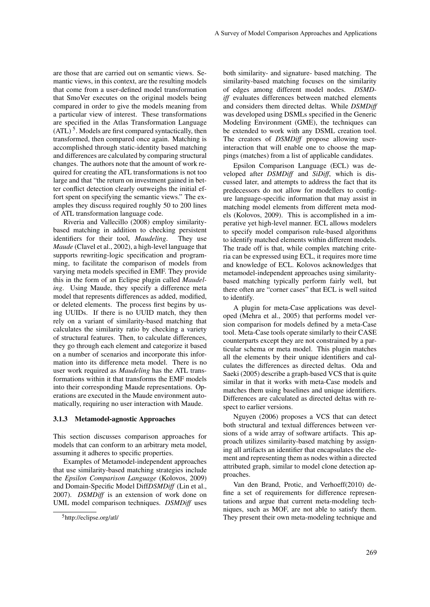are those that are carried out on semantic views. Semantic views, in this context, are the resulting models that come from a user-defined model transformation that SmoVer executes on the original models being compared in order to give the models meaning from a particular view of interest. These transformations are specified in the Atlas Transformation Language  $(ATL)$ <sup>5</sup>. Models are first compared syntactically, then transformed, then compared once again. Matching is accomplished through static-identity based matching and differences are calculated by comparing structural changes. The authors note that the amount of work required for creating the ATL transformations is not too large and that "the return on investment gained in better conflict detection clearly outweighs the initial effort spent on specifying the semantic views." The examples they discuss required roughly 50 to 200 lines of ATL transformation language code.

Riveria and Vallecillo (2008) employ similaritybased matching in addition to checking persistent identifiers for their tool, *Maudeling*. They use *Maude* (Clavel et al., 2002), a high-level language that supports rewriting-logic specification and programming, to facilitate the comparison of models from varying meta models specified in EMF. They provide this in the form of an Eclipse plugin called *Maudeling*. Using Maude, they specify a difference meta model that represents differences as added, modified, or deleted elements. The process first begins by using UUIDs. If there is no UUID match, they then rely on a variant of similarity-based matching that calculates the similarity ratio by checking a variety of structural features. Then, to calculate differences, they go through each element and categorize it based on a number of scenarios and incorporate this information into its difference meta model. There is no user work required as *Maudeling* has the ATL transformations within it that transforms the EMF models into their corresponding Maude representations. Operations are executed in the Maude environment automatically, requiring no user interaction with Maude.

#### 3.1.3 Metamodel-agnostic Approaches

This section discusses comparison approaches for models that can conform to an arbitrary meta model, assuming it adheres to specific properties.

Examples of Metamodel-independent approaches that use similarity-based matching strategies include the *Epsilon Comparison Language* (Kolovos, 2009) and Domain-Specific Model Diff*DSMDiff* (Lin et al., 2007). *DSMDiff* is an extension of work done on UML model comparison techniques. *DSMDiff* uses both similarity- and signature- based matching. The similarity-based matching focuses on the similarity of edges among different model nodes. *DSMDiff* evaluates differences between matched elements and considers them directed deltas. While *DSMDiff* was developed using DSMLs specified in the Generic Modeling Environment (GME), the techniques can be extended to work with any DSML creation tool. The creators of *DSMDiff* propose allowing userinteraction that will enable one to choose the mappings (matches) from a list of applicable candidates.

Epsilon Comparison Language (ECL) was developed after *DSMDiff* and *SiDiff*, which is discussed later, and attempts to address the fact that its predecessors do not allow for modellers to configure language-specific information that may assist in matching model elements from different meta models (Kolovos, 2009). This is accomplished in a imperative yet high-level manner. ECL allows modelers to specify model comparison rule-based algorithms to identify matched elements within different models. The trade off is that, while complex matching criteria can be expressed using ECL, it requires more time and knowledge of ECL. Kolovos acknowledges that metamodel-independent approaches using similaritybased matching typically perform fairly well, but there often are "corner cases" that ECL is well suited to identify.

A plugin for meta-Case applications was developed (Mehra et al., 2005) that performs model version comparison for models defined by a meta-Case tool. Meta-Case tools operate similarly to their CASE counterparts except they are not constrained by a particular schema or meta model. This plugin matches all the elements by their unique identifiers and calculates the differences as directed deltas. Oda and Saeki (2005) describe a graph-based VCS that is quite similar in that it works with meta-Case models and matches them using baselines and unique identifiers. Differences are calculated as directed deltas with respect to earlier versions.

Nguyen (2006) proposes a VCS that can detect both structural and textual differences between versions of a wide array of software artifacts. This approach utilizes similarity-based matching by assigning all artifacts an identifier that encapsulates the element and representing them as nodes within a directed attributed graph, similar to model clone detection approaches.

Van den Brand, Protic, and Verhoeff(2010) define a set of requirements for difference representations and argue that current meta-modeling techniques, such as MOF, are not able to satisfy them. They present their own meta-modeling technique and

<sup>5</sup>http://eclipse.org/atl/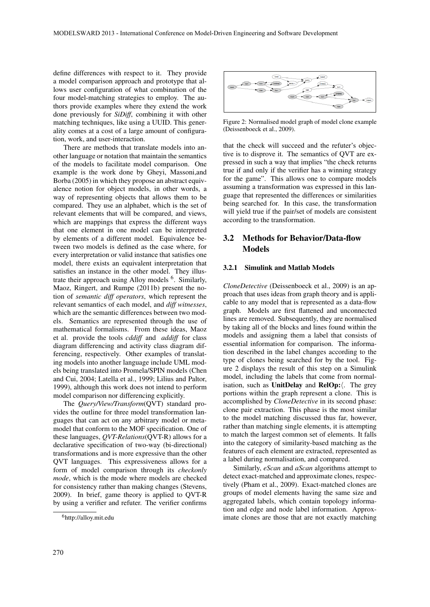define differences with respect to it. They provide a model comparison approach and prototype that allows user configuration of what combination of the four model-matching strategies to employ. The authors provide examples where they extend the work done previously for *SiDiff*, combining it with other matching techniques, like using a UUID. This generality comes at a cost of a large amount of configuration, work, and user-interaction.

There are methods that translate models into another language or notation that maintain the semantics of the models to facilitate model comparison. One example is the work done by Gheyi, Massoni,and Borba (2005) in which they propose an abstract equivalence notion for object models, in other words, a way of representing objects that allows them to be compared. They use an alphabet, which is the set of relevant elements that will be compared, and views, which are mappings that express the different ways that one element in one model can be interpreted by elements of a different model. Equivalence between two models is defined as the case where, for every interpretation or valid instance that satisfies one model, there exists an equivalent interpretation that satisfies an instance in the other model. They illustrate their approach using Alloy models <sup>6</sup>. Similarly, Maoz, Ringert, and Rumpe (2011b) present the notion of *semantic diff operators*, which represent the relevant semantics of each model, and *diff witnesses*, which are the semantic differences between two models. Semantics are represented through the use of mathematical formalisms. From these ideas, Maoz et al. provide the tools *cddiff* and *addiff* for class diagram differencing and activity class diagram differencing, respectively. Other examples of translating models into another language include UML models being translated into Promela/SPIN models (Chen and Cui, 2004; Latella et al., 1999; Lilius and Paltor, 1999), although this work does not intend to perform model comparison nor differencing explicitly.

The *Query/View/Transform*(QVT) standard provides the outline for three model transformation languages that can act on any arbitrary model or metamodel that conform to the MOF specification. One of these languages, *QVT-Relations*(QVT-R) allows for a declarative specification of two-way (bi-directional) transformations and is more expressive than the other QVT languages. This expressiveness allows for a form of model comparison through its *checkonly mode*, which is the mode where models are checked for consistency rather than making changes (Stevens, 2009). In brief, game theory is applied to QVT-R by using a verifier and refuter. The verifier confirms



Figure 2: Normalised model graph of model clone example (Deissenboeck et al., 2009).

that the check will succeed and the refuter's objective is to disprove it. The semantics of QVT are expressed in such a way that implies "the check returns true if and only if the verifier has a winning strategy for the game". This allows one to compare models assuming a transformation was expressed in this language that represented the differences or similarities being searched for. In this case, the transformation will yield true if the pair/set of models are consistent according to the transformation.

## 3.2 Methods for Behavior/Data-flow Models

### 3.2.1 Simulink and Matlab Models

*CloneDetective* (Deissenboeck et al., 2009) is an approach that uses ideas from graph theory and is applicable to any model that is represented as a data-flow graph. Models are first flattened and unconnected lines are removed. Subsequently, they are normalised by taking all of the blocks and lines found within the models and assigning them a label that consists of essential information for comparison. The information described in the label changes according to the type of clones being searched for by the tool. Figure 2 displays the result of this step on a Simulink model, including the labels that come from normalisation, such as UnitDelay and RelOp: $\langle$ . The grey portions within the graph represent a clone. This is accomplished by *CloneDetective* in its second phase: clone pair extraction. This phase is the most similar to the model matching discussed thus far, however, rather than matching single elements, it is attempting to match the largest common set of elements. It falls into the category of similarity-based matching as the features of each element are extracted, represented as a label during normalisation, and compared.

Similarly, *eScan* and *aScan* algorithms attempt to detect exact-matched and approximate clones, respectively (Pham et al., 2009). Exact-matched clones are groups of model elements having the same size and aggregated labels, which contain topology information and edge and node label information. Approximate clones are those that are not exactly matching

<sup>6</sup>http://alloy.mit.edu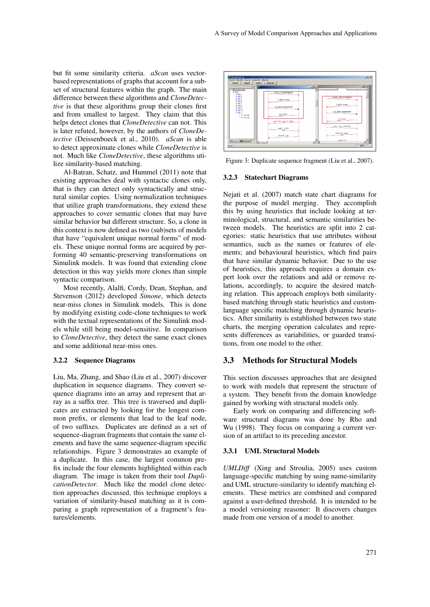but fit some similarity criteria. *aScan* uses vectorbased representations of graphs that account for a subset of structural features within the graph. The main difference between these algorithms and *CloneDetective* is that these algorithms group their clones first and from smallest to largest. They claim that this helps detect clones that *CloneDetective* can not. This is later refuted, however, by the authors of *CloneDetective* (Deissenboeck et al., 2010). *aScan* is able to detect approximate clones while *CloneDetective* is not. Much like *CloneDetective*, these algorithms utilize similarity-based matching.

Al-Batran, Schatz, and Hummel (2011) note that existing approaches deal with syntactic clones only, that is they can detect only syntactically and structural similar copies. Using normalization techniques that utilize graph transformations, they extend these approaches to cover semantic clones that may have similar behavior but different structure. So, a clone in this context is now defined as two (sub)sets of models that have "equivalent unique normal forms" of models. These unique normal forms are acquired by performing 40 semantic-preserving transformations on Simulink models. It was found that extending clone detection in this way yields more clones than simple syntactic comparison.

Most recently, Alalfi, Cordy, Dean, Stephan, and Stevenson (2012) developed *Simone*, which detects near-miss clones in Simulink models. This is done by modifying existing code-clone techniques to work with the textual representations of the Simulink models while still being model-sensitive. In comparison to *CloneDetective*, they detect the same exact clones and some additional near-miss ones.

#### 3.2.2 Sequence Diagrams

Liu, Ma, Zhang, and Shao (Liu et al., 2007) discover duplication in sequence diagrams. They convert sequence diagrams into an array and represent that array as a suffix tree. This tree is traversed and duplicates are extracted by looking for the longest common prefix, or elements that lead to the leaf node, of two suffixes. Duplicates are defined as a set of sequence-diagram fragments that contain the same elements and have the same sequence-diagram specific relationships. Figure 3 demonstrates an example of a duplicate. In this case, the largest common prefix include the four elements highlighted within each diagram. The image is taken from their tool *DuplicationDetector*. Much like the model clone detection approaches discussed, this technique employs a variation of similarity-based matching as it is comparing a graph representation of a fragment's features/elements.



Figure 3: Duplicate sequence fragment (Liu et al., 2007).

#### 3.2.3 Statechart Diagrams

Nejati et al. (2007) match state chart diagrams for the purpose of model merging. They accomplish this by using heuristics that include looking at terminological, structural, and semantic similarities between models. The heuristics are split into 2 categories: static heuristics that use attributes without semantics, such as the names or features of elements; and behavioural heuristics, which find pairs that have similar dynamic behavior. Due to the use of heuristics, this approach requires a domain expert look over the relations and add or remove relations, accordingly, to acquire the desired matching relation. This approach employs both similaritybased matching through static heuristics and customlanguage specific matching through dynamic heuristics. After similarity is established between two state charts, the merging operation calculates and represents differences as variabilities, or guarded transitions, from one model to the other.

## 3.3 Methods for Structural Models

This section discusses approaches that are designed to work with models that represent the structure of a system. They benefit from the domain knowledge gained by working with structural models only.

Early work on comparing and differencing software structural diagrams was done by Rho and Wu (1998). They focus on comparing a current version of an artifact to its preceding ancestor.

#### 3.3.1 UML Structural Models

*UMLDiff* (Xing and Stroulia, 2005) uses custom language-specific matching by using name-similarity and UML structure-similarity to identify matching elements. These metrics are combined and compared against a user-defined threshold. It is intended to be a model versioning reasoner: It discovers changes made from one version of a model to another.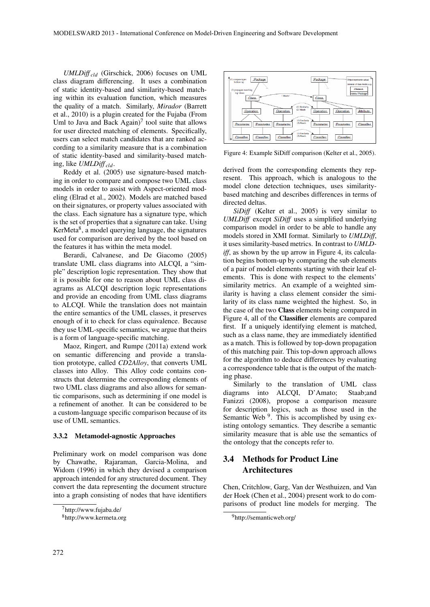*UMLDiff cld* (Girschick, 2006) focuses on UML class diagram differencing. It uses a combination of static identity-based and similarity-based matching within its evaluation function, which measures the quality of a match. Similarly, *Mirador* (Barrett et al., 2010) is a plugin created for the Fujaba (From Uml to Java and Back Again) $<sup>7</sup>$  tool suite that allows</sup> for user directed matching of elements. Specifically, users can select match candidates that are ranked according to a similarity measure that is a combination of static identity-based and similarity-based matching, like *UMLDiff cld*.

Reddy et al. (2005) use signature-based matching in order to compare and compose two UML class models in order to assist with Aspect-oriented modeling (Elrad et al., 2002). Models are matched based on their signatures, or property values associated with the class. Each signature has a signature type, which is the set of properties that a signature can take. Using KerMeta<sup>8</sup>, a model querying language, the signatures used for comparison are derived by the tool based on the features it has within the meta model.

Berardi, Calvanese, and De Giacomo (2005) translate UML class diagrams into ALCQI, a "simple" description logic representation. They show that it is possible for one to reason about UML class diagrams as ALCQI description logic representations and provide an encoding from UML class diagrams to ALCQI. While the translation does not maintain the entire semantics of the UML classes, it preserves enough of it to check for class equivalence. Because they use UML-specific semantics, we argue that theirs is a form of language-specific matching.

Maoz, Ringert, and Rumpe (2011a) extend work on semantic differencing and provide a translation prototype, called *CD2Alloy*, that converts UML classes into Alloy. This Alloy code contains constructs that determine the corresponding elements of two UML class diagrams and also allows for semantic comparisons, such as determining if one model is a refinement of another. It can be considered to be a custom-language specific comparison because of its use of UML semantics.

#### 3.3.2 Metamodel-agnostic Approaches

Preliminary work on model comparison was done by Chawathe, Rajaraman, Garcia-Molina, and Widom (1996) in which they devised a comparison approach intended for any structured document. They convert the data representing the document structure into a graph consisting of nodes that have identifiers



Figure 4: Example SiDiff comparison (Kelter et al., 2005).

derived from the corresponding elements they represent. This approach, which is analogous to the model clone detection techniques, uses similaritybased matching and describes differences in terms of directed deltas.

*SiDiff* (Kelter et al., 2005) is very similar to *UMLDiff* except *SiDiff* uses a simplified underlying comparison model in order to be able to handle any models stored in XMI format. Similarly to *UMLDiff*, it uses similarity-based metrics. In contrast to *UMLDiff*, as shown by the up arrow in Figure 4, its calculation begins bottom-up by comparing the sub elements of a pair of model elements starting with their leaf elements. This is done with respect to the elements' similarity metrics. An example of a weighted similarity is having a class element consider the similarity of its class name weighted the highest. So, in the case of the two Class elements being compared in Figure 4, all of the Classifier elements are compared first. If a uniquely identifying element is matched, such as a class name, they are immediately identified as a match. This is followed by top-down propagation of this matching pair. This top-down approach allows for the algorithm to deduce differences by evaluating a correspondence table that is the output of the matching phase.

Similarly to the translation of UML class diagrams into ALCQI, D'Amato; Staab;and Fanizzi (2008), propose a comparison measure for description logics, such as those used in the Semantic Web<sup>9</sup>. This is accomplished by using existing ontology semantics. They describe a semantic similarity measure that is able use the semantics of the ontology that the concepts refer to.

## 3.4 Methods for Product Line Architectures

Chen, Critchlow, Garg, Van der Westhuizen, and Van der Hoek (Chen et al., 2004) present work to do comparisons of product line models for merging. The

<sup>7</sup>http://www.fujaba.de/

<sup>8</sup>http://www.kermeta.org

<sup>9</sup>http://semanticweb.org/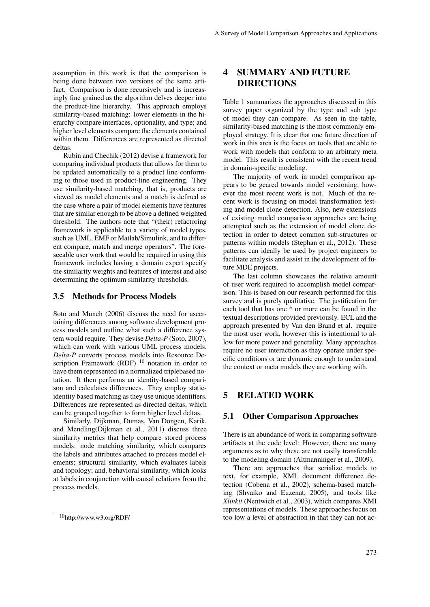assumption in this work is that the comparison is being done between two versions of the same artifact. Comparison is done recursively and is increasingly fine grained as the algorithm delves deeper into the product-line hierarchy. This approach employs similarity-based matching: lower elements in the hierarchy compare interfaces, optionality, and type; and higher level elements compare the elements contained within them. Differences are represented as directed deltas.

Rubin and Chechik (2012) devise a framework for comparing individual products that allows for them to be updated automatically to a product line conforming to those used in product-line engineering. They use similarity-based matching, that is, products are viewed as model elements and a match is defined as the case where a pair of model elements have features that are similar enough to be above a defined weighted threshold. The authors note that "(their) refactoring framework is applicable to a variety of model types, such as UML, EMF or Matlab/Simulink, and to different compare, match and merge operators". The foreseeable user work that would be required in using this framework includes having a domain expert specify the similarity weights and features of interest and also determining the optimum similarity thresholds.

### 3.5 Methods for Process Models

Soto and Munch (2006) discuss the need for ascertaining differences among software development process models and outline what such a difference system would require. They devise *Delta-P* (Soto, 2007), which can work with various UML process models. *Delta-P* converts process models into Resource Description Framework (RDF)  $10$  notation in order to have them represented in a normalized triplebased notation. It then performs an identity-based comparison and calculates differences. They employ staticidentity based matching as they use unique identifiers. Differences are represented as directed deltas, which can be grouped together to form higher level deltas.

Similarly, Dijkman, Dumas, Van Dongen, Karik, and Mendling(Dijkman et al., 2011) discuss three similarity metrics that help compare stored process models: node matching similarity, which compares the labels and attributes attached to process model elements; structural similarity, which evaluates labels and topology; and, behavioral similarity, which looks at labels in conjunction with causal relations from the process models.

# 4 SUMMARY AND FUTURE DIRECTIONS

Table 1 summarizes the approaches discussed in this survey paper organized by the type and sub type of model they can compare. As seen in the table, similarity-based matching is the most commonly employed strategy. It is clear that one future direction of work in this area is the focus on tools that are able to work with models that conform to an arbitrary meta model. This result is consistent with the recent trend in domain-specific modeling.

The majority of work in model comparison appears to be geared towards model versioning, however the most recent work is not. Much of the recent work is focusing on model transformation testing and model clone detection. Also, new extensions of existing model comparison approaches are being attempted such as the extension of model clone detection in order to detect common sub-structures or patterns within models (Stephan et al., 2012). These patterns can ideally be used by project engineers to facilitate analysis and assist in the development of future MDE projects.

The last column showcases the relative amount of user work required to accomplish model comparison. This is based on our research performed for this survey and is purely qualitative. The justification for each tool that has one \* or more can be found in the textual descriptions provided previously. ECL and the approach presented by Van den Brand et al. require the most user work, however this is intentional to allow for more power and generality. Many approaches require no user interaction as they operate under specific conditions or are dynamic enough to understand the context or meta models they are working with.

### 5 RELATED WORK

### 5.1 Other Comparison Approaches

There is an abundance of work in comparing software artifacts at the code level: However, there are many arguments as to why these are not easily transferable to the modeling domain (Altmanninger et al., 2009).

There are approaches that serialize models to text, for example, XML document difference detection (Cobena et al., 2002), schema-based matching (Shvaiko and Euzenat, 2005), and tools like *Xlinkit* (Nentwich et al., 2003), which compares XMI representations of models. These approaches focus on too low a level of abstraction in that they can not ac-

<sup>10</sup>http://www.w3.org/RDF/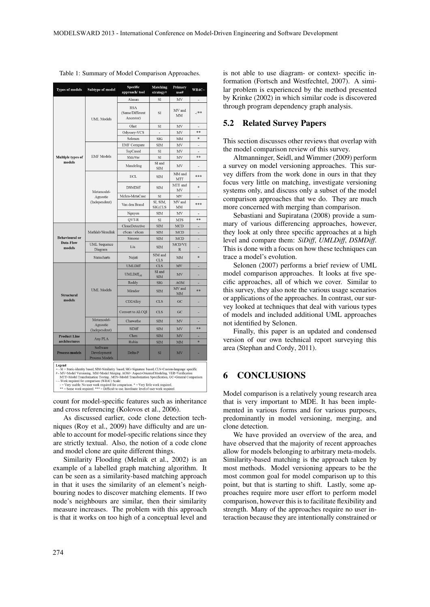| <b>Types of models</b>                                                                                                                                                                                                                                                                                                                                             | Subtype of model                          | Specific<br>approach/tool                  | Matching<br>strategy+ | Primary<br>use#                 | WR4C~          |
|--------------------------------------------------------------------------------------------------------------------------------------------------------------------------------------------------------------------------------------------------------------------------------------------------------------------------------------------------------------------|-------------------------------------------|--------------------------------------------|-----------------------|---------------------------------|----------------|
| Multiple types of<br>models                                                                                                                                                                                                                                                                                                                                        | <b>UML</b> Models                         | Alanan                                     | SI                    | MV                              | ä,             |
|                                                                                                                                                                                                                                                                                                                                                                    |                                           | <b>RSA</b><br>(Same/Different<br>Ancestor) | SI                    | MV and<br><b>MM</b>             | $-$ /**        |
|                                                                                                                                                                                                                                                                                                                                                                    |                                           | Ohst                                       | SI                    | MV                              |                |
|                                                                                                                                                                                                                                                                                                                                                                    |                                           | Odyssey-VCS                                | ä,                    | MV                              | **             |
|                                                                                                                                                                                                                                                                                                                                                                    |                                           | Selonen                                    | SIG                   | MM                              | *              |
|                                                                                                                                                                                                                                                                                                                                                                    | <b>EMF</b> Models                         | <b>EMF</b> Compare                         | <b>SIM</b>            | MV                              | $\overline{a}$ |
|                                                                                                                                                                                                                                                                                                                                                                    |                                           | TopCased                                   | <b>SI</b>             | MV                              |                |
|                                                                                                                                                                                                                                                                                                                                                                    |                                           | SMoVer                                     | SI                    | MV                              | **             |
|                                                                                                                                                                                                                                                                                                                                                                    |                                           | Maudeling                                  | SI and<br><b>SIM</b>  | MV                              |                |
|                                                                                                                                                                                                                                                                                                                                                                    | Metamodel-<br>Agnostic<br>(Independent)   | ECL                                        | <b>SIM</b>            | MM and<br>MTT                   | ***            |
|                                                                                                                                                                                                                                                                                                                                                                    |                                           | <b>DSMDiff</b>                             | <b>SIM</b>            | MTT and<br>MV                   | ×.             |
|                                                                                                                                                                                                                                                                                                                                                                    |                                           | Mehra-MetaCase                             | SI                    | MV                              |                |
|                                                                                                                                                                                                                                                                                                                                                                    |                                           | Van den Brand                              | SI, SIM,<br>SIG.CLS   | MV and<br>MM                    | ***            |
|                                                                                                                                                                                                                                                                                                                                                                    |                                           | Nguyen                                     | <b>SIM</b>            | MV                              | $\overline{a}$ |
|                                                                                                                                                                                                                                                                                                                                                                    |                                           | QVT-R                                      | SI                    | <b>MTS</b>                      | **             |
| <b>Behavioural</b> or<br>Data-Flow<br>models                                                                                                                                                                                                                                                                                                                       | Mathlab/Simulink                          | CloneDetective                             | <b>SIM</b>            | <b>MCD</b>                      |                |
|                                                                                                                                                                                                                                                                                                                                                                    |                                           | eScan / aScan                              | <b>SIM</b>            | <b>MCD</b>                      | $\overline{a}$ |
|                                                                                                                                                                                                                                                                                                                                                                    |                                           | Simone                                     | <b>SIM</b>            | <b>MCD</b>                      | ٠              |
|                                                                                                                                                                                                                                                                                                                                                                    | <b>UML</b> Sequence<br>Diagram            | Liu                                        | SIM                   | MCD/VE<br>$\mathbb R$           |                |
|                                                                                                                                                                                                                                                                                                                                                                    | Statecharts                               | Nejati                                     | SIM and<br><b>CLS</b> | MM                              | ×.             |
| Structural<br>models                                                                                                                                                                                                                                                                                                                                               | <b>UML</b> Models                         | <b>UMLDiff</b>                             | <b>CLS</b>            | $\ensuremath{\text{MV}}\xspace$ |                |
|                                                                                                                                                                                                                                                                                                                                                                    |                                           | UMLDiff <sub>eld</sub>                     | SI and<br><b>SIM</b>  | MV                              |                |
|                                                                                                                                                                                                                                                                                                                                                                    |                                           | Reddy                                      | <b>SIG</b>            | <b>AOM</b>                      | ٠              |
|                                                                                                                                                                                                                                                                                                                                                                    |                                           | Mirador                                    | <b>SIM</b>            | MV and<br>MM                    | **             |
|                                                                                                                                                                                                                                                                                                                                                                    |                                           | CD2Alloy                                   | <b>CLS</b>            | GC                              |                |
|                                                                                                                                                                                                                                                                                                                                                                    |                                           | Convert to ALCQI                           | <b>CLS</b>            | GC                              |                |
|                                                                                                                                                                                                                                                                                                                                                                    | Metamodel-<br>Agnostic                    | Chawathe                                   | SIM                   | MV                              |                |
|                                                                                                                                                                                                                                                                                                                                                                    | (Independent)                             | SiDiff                                     | <b>SIM</b>            | MV                              | **             |
| <b>Product Line</b><br>architectures                                                                                                                                                                                                                                                                                                                               | Any PLA                                   | Chen                                       | SIM                   | MV                              |                |
|                                                                                                                                                                                                                                                                                                                                                                    |                                           | Rubin                                      | <b>SIM</b>            | MM                              | *              |
| <b>Process models</b>                                                                                                                                                                                                                                                                                                                                              | Software<br>Development<br>Process Models | Delta-P                                    | SI                    | MV                              |                |
| Legend<br>+ - SI = Static-identity based, SIM=Similarity based, SIG=Signature based, CLS=Custom-language specific<br># - MV=Model Versioning, MM=Model Merging AOM= Aspect-Oriented Modeling, VER=Verification<br>MTT=Model Transformation Testing , MTS=Model Transformation Specification, GC=General Comparison<br>- Work required for comparison (WR4C) Scale: |                                           |                                            |                       |                                 |                |

Table 1: Summary of Model Comparison Approaches.

- work required for comparison (wR4C) Scate:<br>- = Very usable. No user work required for comparison. \* = Very little work required.<br>\*\* = Some work required. \*\*\* = Difficult to use. Inordinate level of user work required.

count for model-specific features such as inheritance and cross referencing (Kolovos et al., 2006).

As discussed earlier, code clone detection techniques (Roy et al., 2009) have difficulty and are unable to account for model-specific relations since they are strictly textual. Also, the notion of a code clone and model clone are quite different things.

Similarity Flooding (Melnik et al., 2002) is an example of a labelled graph matching algorithm. It can be seen as a similarity-based matching approach in that it uses the similarity of an element's neighbouring nodes to discover matching elements. If two node's neighbours are similar, then their similarity measure increases. The problem with this approach is that it works on too high of a conceptual level and is not able to use diagram- or context- specific information (Fortsch and Westfechtel, 2007). A similar problem is experienced by the method presented by Krinke (2002) in which similar code is discovered through program dependency graph analysis.

### 5.2 Related Survey Papers

This section discusses other reviews that overlap with the model comparison review of this survey.

Altmanninger, Seidl, and Wimmer (2009) perform a survey on model versioning approaches. This survey differs from the work done in ours in that they focus very little on matching, investigate versioning systems only, and discuss only a subset of the model comparison approaches that we do. They are much more concerned with merging than comparison.

Sebastiani and Supiratana (2008) provide a summary of various differencing approaches, however, they look at only three specific approaches at a high level and compare them: *SiDiff*, *UMLDiff*, *DSMDiff*. This is done with a focus on how these techniques can trace a model's evolution.

Selonen (2007) performs a brief review of UML model comparison approaches. It looks at five specific approaches, all of which we cover. Similar to this survey, they also note the various usage scenarios or applications of the approaches. In contrast, our survey looked at techniques that deal with various types of models and included additional UML approaches not identified by Selonen.

Finally, this paper is an updated and condensed version of our own technical report surveying this area (Stephan and Cordy, 2011).

## 6 CONCLUSIONS

Model comparison is a relatively young research area that is very important to MDE. It has been implemented in various forms and for various purposes, predominantly in model versioning, merging, and clone detection.

We have provided an overview of the area, and have observed that the majority of recent approaches allow for models belonging to arbitrary meta-models. Similarity-based matching is the approach taken by most methods. Model versioning appears to be the most common goal for model comparison up to this point, but that is starting to shift. Lastly, some approaches require more user effort to perform model comparison, however this is to facilitate flexibility and strength. Many of the approaches require no user interaction because they are intentionally constrained or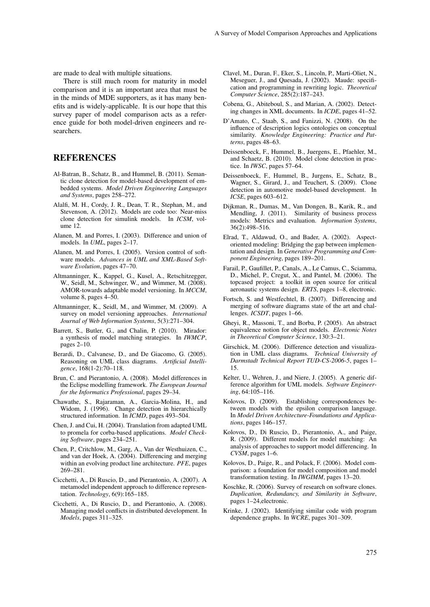are made to deal with multiple situations.

There is still much room for maturity in model comparison and it is an important area that must be in the minds of MDE supporters, as it has many benefits and is widely-applicable. It is our hope that this survey paper of model comparison acts as a reference guide for both model-driven engineers and researchers.

## REFERENCES

- Al-Batran, B., Schatz, B., and Hummel, B. (2011). Semantic clone detection for model-based development of embedded systems. *Model Driven Engineering Languages and Systems*, pages 258–272.
- Alalfi, M. H., Cordy, J. R., Dean, T. R., Stephan, M., and Stevenson, A. (2012). Models are code too: Near-miss clone detection for simulink models. In *ICSM*, volume 12.
- Alanen, M. and Porres, I. (2003). Difference and union of models. In *UML*, pages 2–17.
- Alanen, M. and Porres, I. (2005). Version control of software models. *Advances in UML and XML-Based Software Evolution*, pages 47–70.
- Altmanninger, K., Kappel, G., Kusel, A., Retschitzegger, W., Seidl, M., Schwinger, W., and Wimmer, M. (2008). AMOR-towards adaptable model versioning. In *MCCM*, volume 8, pages 4–50.
- Altmanninger, K., Seidl, M., and Wimmer, M. (2009). A survey on model versioning approaches. *International Journal of Web Information Systems*, 5(3):271–304.
- Barrett, S., Butler, G., and Chalin, P. (2010). Mirador: a synthesis of model matching strategies. In *IWMCP*, pages 2–10.
- Berardi, D., Calvanese, D., and De Giacomo, G. (2005). Reasoning on UML class diagrams. *Artificial Intelligence*, 168(1-2):70–118.
- Brun, C. and Pierantonio, A. (2008). Model differences in the Eclipse modelling framework. *The European Journal for the Informatics Professional*, pages 29–34.
- Chawathe, S., Rajaraman, A., Garcia-Molina, H., and Widom, J. (1996). Change detection in hierarchically structured information. In *ICMD*, pages 493–504.
- Chen, J. and Cui, H. (2004). Translation from adapted UML to promela for corba-based applications. *Model Checking Software*, pages 234–251.
- Chen, P., Critchlow, M., Garg, A., Van der Westhuizen, C., and van der Hoek, A. (2004). Differencing and merging within an evolving product line architecture. *PFE*, pages 269–281.
- Cicchetti, A., Di Ruscio, D., and Pierantonio, A. (2007). A metamodel independent approach to difference representation. *Technology*, 6(9):165–185.
- Cicchetti, A., Di Ruscio, D., and Pierantonio, A. (2008). Managing model conflicts in distributed development. In *Models*, pages 311–325.
- Clavel, M., Duran, F., Eker, S., Lincoln, P., Marti-Oliet, N., Meseguer, J., and Quesada, J. (2002). Maude: specification and programming in rewriting logic. *Theoretical Computer Science*, 285(2):187–243.
- Cobena, G., Abiteboul, S., and Marian, A. (2002). Detecting changes in XML documents. In *ICDE*, pages 41–52.
- D'Amato, C., Staab, S., and Fanizzi, N. (2008). On the influence of description logics ontologies on conceptual similarity. *Knowledge Engineering: Practice and Patterns*, pages 48–63.
- Deissenboeck, F., Hummel, B., Juergens, E., Pfaehler, M., and Schaetz, B. (2010). Model clone detection in practice. In *IWSC*, pages 57–64.
- Deissenboeck, F., Hummel, B., Jurgens, E., Schatz, B., Wagner, S., Girard, J., and Teuchert, S. (2009). Clone detection in automotive model-based development. In *ICSE*, pages 603–612.
- Dijkman, R., Dumas, M., Van Dongen, B., Karik, R., and Mendling, J. (2011). Similarity of business process models: Metrics and evaluation. *Information Systems*, 36(2):498–516.
- Elrad, T., Aldawud, O., and Bader, A. (2002). Aspectoriented modeling: Bridging the gap between implementation and design. In *Generative Programming and Component Engineering*, pages 189–201.
- Farail, P., Gaufillet, P., Canals, A., Le Camus, C., Sciamma, D., Michel, P., Cregut, X., and Pantel, M. (2006). The topcased project: a toolkit in open source for critical aeronautic systems design. *ERTS*, pages 1–8, electronic.
- Fortsch, S. and Westfechtel, B. (2007). Differencing and merging of software diagrams state of the art and challenges. *ICSDT*, pages 1–66.
- Gheyi, R., Massoni, T., and Borba, P. (2005). An abstract equivalence notion for object models. *Electronic Notes in Theoretical Computer Science*, 130:3–21.
- Girschick, M. (2006). Difference detection and visualization in UML class diagrams. *Technical University of Darmstadt Technical Report TUD-CS-2006-5*, pages 1– 15.
- Kelter, U., Wehren, J., and Niere, J. (2005). A generic difference algorithm for UML models. *Software Engineering*, 64:105–116.
- Kolovos, D. (2009). Establishing correspondences between models with the epsilon comparison language. In *Model Driven Architecture-Foundations and Applications*, pages 146–157.
- Kolovos, D., Di Ruscio, D., Pierantonio, A., and Paige, R. (2009). Different models for model matching: An analysis of approaches to support model differencing. In *CVSM*, pages 1–6.
- Kolovos, D., Paige, R., and Polack, F. (2006). Model comparison: a foundation for model composition and model transformation testing. In *IWGIMM*, pages 13–20.
- Koschke, R. (2006). Survey of research on software clones. *Duplication, Redundancy, and Similarity in Software*, pages 1–24,electronic.
- Krinke, J. (2002). Identifying similar code with program dependence graphs. In *WCRE*, pages 301–309.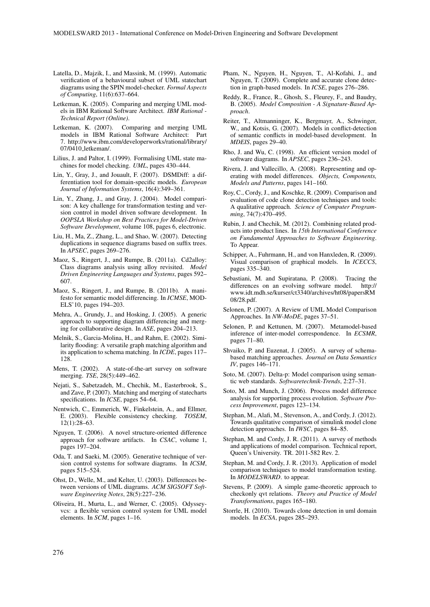- Latella, D., Majzik, I., and Massink, M. (1999). Automatic verification of a behavioural subset of UML statechart diagrams using the SPIN model-checker. *Formal Aspects of Computing*, 11(6):637–664.
- Letkeman, K. (2005). Comparing and merging UML models in IBM Rational Software Architect. *IBM Rational - Technical Report (Online)*.
- Letkeman, K. (2007). Comparing and merging UML models in IBM Rational Software Architect: Part 7. http://www.ibm.com/developerworks/rational/library/ 07/0410 letkeman/.
- Lilius, J. and Paltor, I. (1999). Formalising UML state machines for model checking. *UML*, pages 430–444.
- Lin, Y., Gray, J., and Jouault, F. (2007). DSMDiff: a differentiation tool for domain-specific models. *European Journal of Information Systems*, 16(4):349–361.
- Lin, Y., Zhang, J., and Gray, J. (2004). Model comparison: A key challenge for transformation testing and version control in model driven software development. In *OOPSLA Workshop on Best Practices for Model-Driven Software Development*, volume 108, pages 6, electronic.
- Liu, H., Ma, Z., Zhang, L., and Shao, W. (2007). Detecting duplications in sequence diagrams based on suffix trees. In *APSEC*, pages 269–276.
- Maoz, S., Ringert, J., and Rumpe, B. (2011a). Cd2alloy: Class diagrams analysis using alloy revisited. *Model Driven Engineering Languages and Systems*, pages 592– 607.
- Maoz, S., Ringert, J., and Rumpe, B. (2011b). A manifesto for semantic model differencing. In *ICMSE*, MOD-ELS'10, pages 194–203.
- Mehra, A., Grundy, J., and Hosking, J. (2005). A generic approach to supporting diagram differencing and merging for collaborative design. In *ASE*, pages 204–213.
- Melnik, S., Garcia-Molina, H., and Rahm, E. (2002). Similarity flooding: A versatile graph matching algorithm and its application to schema matching. In *ICDE*, pages 117– 128.
- Mens, T. (2002). A state-of-the-art survey on software merging. *TSE*, 28(5):449–462.
- Nejati, S., Sabetzadeh, M., Chechik, M., Easterbrook, S., and Zave, P. (2007). Matching and merging of statecharts specifications. In *ICSE*, pages 54–64.
- Nentwich, C., Emmerich, W., Finkelstein, A., and Ellmer, E. (2003). Flexible consistency checking. *TOSEM*, 12(1):28–63.
- Nguyen, T. (2006). A novel structure-oriented difference approach for software artifacts. In *CSAC*, volume 1, pages 197–204.
- Oda, T. and Saeki, M. (2005). Generative technique of version control systems for software diagrams. In *ICSM*, pages 515–524.
- Ohst, D., Welle, M., and Kelter, U. (2003). Differences between versions of UML diagrams. *ACM SIGSOFT Software Engineering Notes*, 28(5):227–236.
- Oliveira, H., Murta, L., and Werner, C. (2005). Odysseyvcs: a flexible version control system for UML model elements. In *SCM*, pages 1–16.
- Pham, N., Nguyen, H., Nguyen, T., Al-Kofahi, J., and Nguyen, T. (2009). Complete and accurate clone detection in graph-based models. In *ICSE*, pages 276–286.
- Reddy, R., France, R., Ghosh, S., Fleurey, F., and Baudry, B. (2005). *Model Composition - A Signature-Based Approach*.
- Reiter, T., Altmanninger, K., Bergmayr, A., Schwinger, W., and Kotsis, G. (2007). Models in conflict-detection of semantic conflicts in model-based development. In *MDEIS*, pages 29–40.
- Rho, J. and Wu, C. (1998). An efficient version model of software diagrams. In *APSEC*, pages 236–243.
- Rivera, J. and Vallecillo, A. (2008). Representing and operating with model differences. *Objects, Components, Models and Patterns*, pages 141–160.
- Roy, C., Cordy, J., and Koschke, R. (2009). Comparison and evaluation of code clone detection techniques and tools: A qualitative approach. *Science of Computer Programming*, 74(7):470–495.
- Rubin, J. and Chechik, M. (2012). Combining related products into product lines. In *15th International Conference on Fundamental Approaches to Software Engineering*. To Appear.
- Schipper, A., Fuhrmann, H., and von Hanxleden, R. (2009). Visual comparison of graphical models. In *ICECCS*, pages 335–340.
- Sebastiani, M. and Supiratana, P. (2008). Tracing the differences on an evolving software model. http:// www.idt.mdh.se/kurser/ct3340/archives/ht08/papersRM 08/28.pdf.
- Selonen, P. (2007). A Review of UML Model Comparison Approaches. In *NW-MoDE*, pages 37–51.
- Selonen, P. and Kettunen, M. (2007). Metamodel-based inference of inter-model correspondence. In *ECSMR*, pages 71–80.
- Shvaiko, P. and Euzenat, J. (2005). A survey of schemabased matching approaches. *Journal on Data Semantics IV*, pages 146–171.
- Soto, M. (2007). Delta-p: Model comparison using semantic web standards. *Softwaretechnik-Trends*, 2:27–31.
- Soto, M. and Munch, J. (2006). Process model difference analysis for supporting process evolution. *Software Process Improvement*, pages 123–134.
- Stephan, M., Alafi, M., Stevenson, A., and Cordy, J. (2012). Towards qualitative comparison of simulink model clone detection approaches. In *IWSC*, pages 84–85.
- Stephan, M. and Cordy, J. R. (2011). A survey of methods and applications of model comparison. Technical report, Queen's University. TR. 2011-582 Rev. 2.
- Stephan, M. and Cordy, J. R. (2013). Application of model comparison techniques to model transformation testing. In *MODELSWARD*. to appear.
- Stevens, P. (2009). A simple game-theoretic approach to checkonly qvt relations. *Theory and Practice of Model Transformations*, pages 165–180.
- Storrle, H. (2010). Towards clone detection in uml domain models. In *ECSA*, pages 285–293.